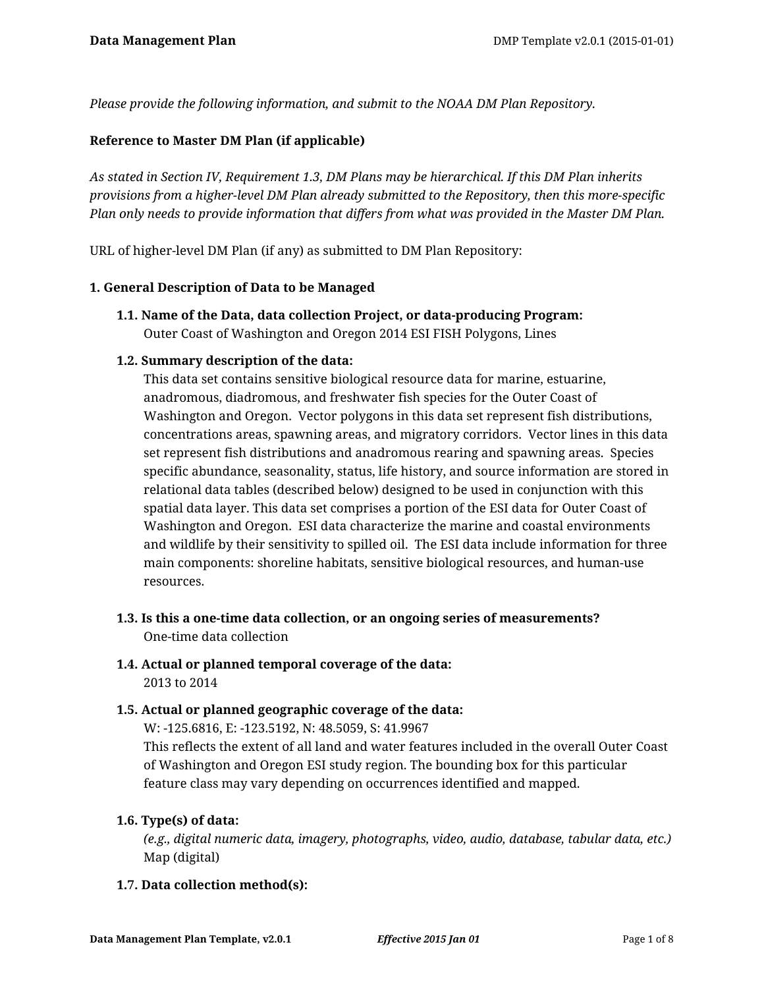*Please provide the following information, and submit to the NOAA DM Plan Repository.*

#### **Reference to Master DM Plan (if applicable)**

*As stated in Section IV, Requirement 1.3, DM Plans may be hierarchical. If this DM Plan inherits provisions from a higher-level DM Plan already submitted to the Repository, then this more-specific Plan only needs to provide information that differs from what was provided in the Master DM Plan.*

URL of higher-level DM Plan (if any) as submitted to DM Plan Repository:

#### **1. General Description of Data to be Managed**

**1.1. Name of the Data, data collection Project, or data-producing Program:** Outer Coast of Washington and Oregon 2014 ESI FISH Polygons, Lines

#### **1.2. Summary description of the data:**

This data set contains sensitive biological resource data for marine, estuarine, anadromous, diadromous, and freshwater fish species for the Outer Coast of Washington and Oregon. Vector polygons in this data set represent fish distributions, concentrations areas, spawning areas, and migratory corridors. Vector lines in this data set represent fish distributions and anadromous rearing and spawning areas. Species specific abundance, seasonality, status, life history, and source information are stored in relational data tables (described below) designed to be used in conjunction with this spatial data layer. This data set comprises a portion of the ESI data for Outer Coast of Washington and Oregon. ESI data characterize the marine and coastal environments and wildlife by their sensitivity to spilled oil. The ESI data include information for three main components: shoreline habitats, sensitive biological resources, and human-use resources.

- **1.3. Is this a one-time data collection, or an ongoing series of measurements?** One-time data collection
- **1.4. Actual or planned temporal coverage of the data:** 2013 to 2014

### **1.5. Actual or planned geographic coverage of the data:**

W: -125.6816, E: -123.5192, N: 48.5059, S: 41.9967

This reflects the extent of all land and water features included in the overall Outer Coast of Washington and Oregon ESI study region. The bounding box for this particular feature class may vary depending on occurrences identified and mapped.

### **1.6. Type(s) of data:**

*(e.g., digital numeric data, imagery, photographs, video, audio, database, tabular data, etc.)* Map (digital)

### **1.7. Data collection method(s):**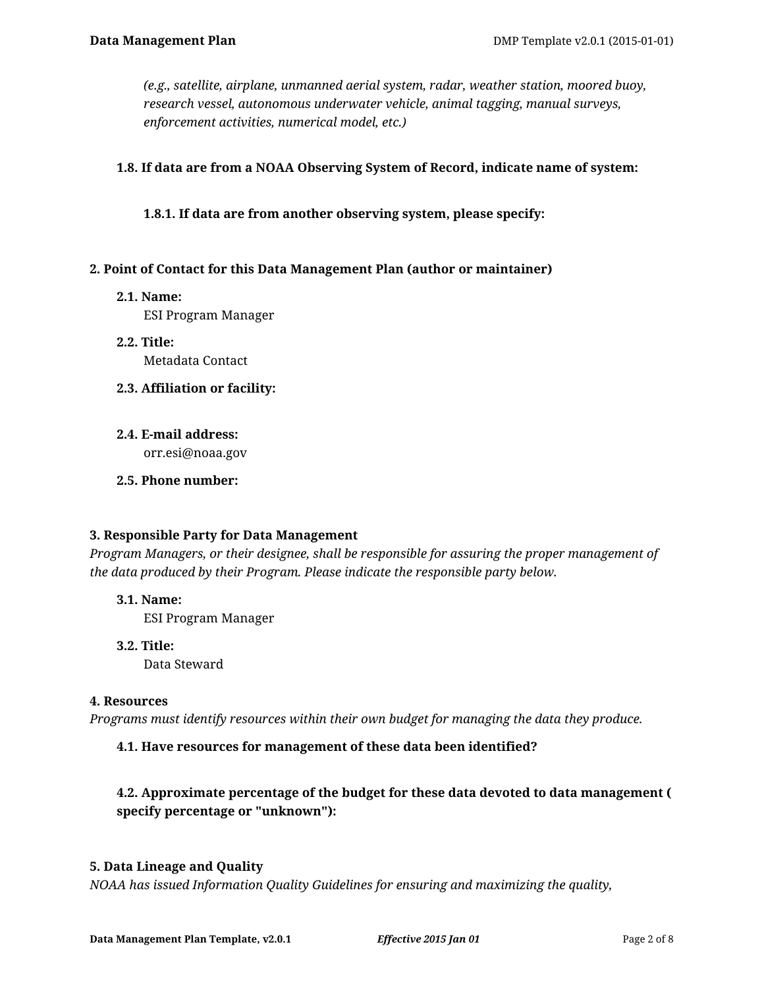*(e.g., satellite, airplane, unmanned aerial system, radar, weather station, moored buoy, research vessel, autonomous underwater vehicle, animal tagging, manual surveys, enforcement activities, numerical model, etc.)*

### **1.8. If data are from a NOAA Observing System of Record, indicate name of system:**

**1.8.1. If data are from another observing system, please specify:**

### **2. Point of Contact for this Data Management Plan (author or maintainer)**

**2.1. Name:**

ESI Program Manager

- **2.2. Title:** Metadata Contact
- **2.3. Affiliation or facility:**
- **2.4. E-mail address:** orr.esi@noaa.gov
- **2.5. Phone number:**

### **3. Responsible Party for Data Management**

*Program Managers, or their designee, shall be responsible for assuring the proper management of the data produced by their Program. Please indicate the responsible party below.*

**3.1. Name:**

ESI Program Manager

**3.2. Title:** Data Steward

### **4. Resources**

*Programs must identify resources within their own budget for managing the data they produce.*

### **4.1. Have resources for management of these data been identified?**

## **4.2. Approximate percentage of the budget for these data devoted to data management ( specify percentage or "unknown"):**

#### **5. Data Lineage and Quality**

*NOAA has issued Information Quality Guidelines for ensuring and maximizing the quality,*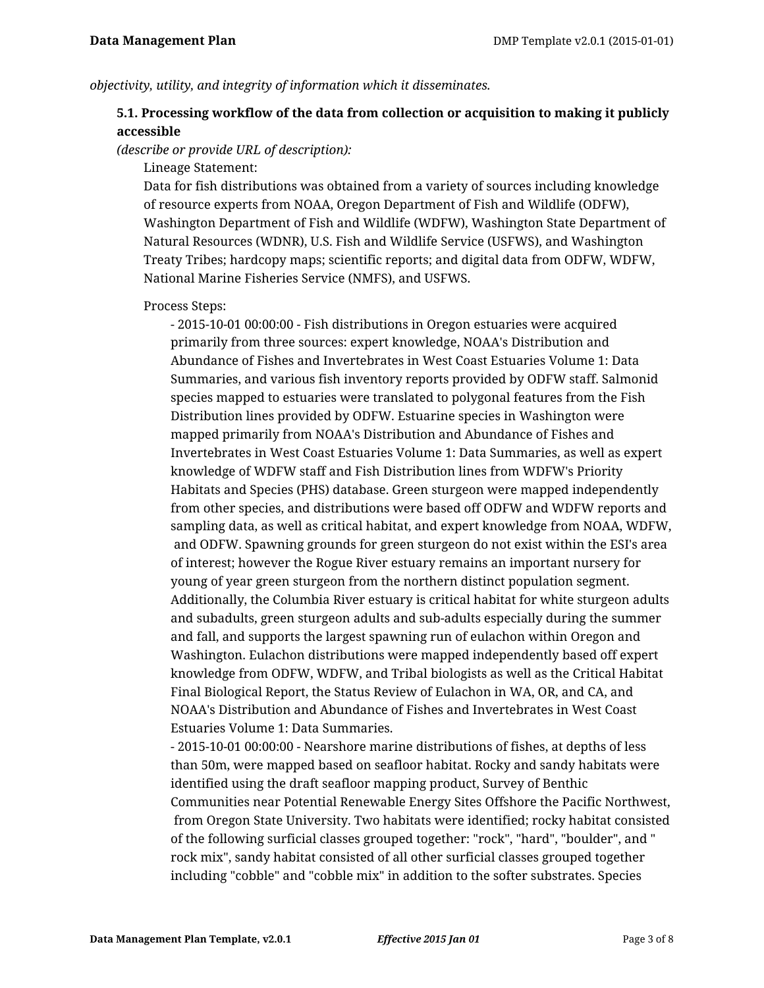*objectivity, utility, and integrity of information which it disseminates.*

### **5.1. Processing workflow of the data from collection or acquisition to making it publicly accessible**

*(describe or provide URL of description):*

Lineage Statement:

Data for fish distributions was obtained from a variety of sources including knowledge of resource experts from NOAA, Oregon Department of Fish and Wildlife (ODFW), Washington Department of Fish and Wildlife (WDFW), Washington State Department of Natural Resources (WDNR), U.S. Fish and Wildlife Service (USFWS), and Washington Treaty Tribes; hardcopy maps; scientific reports; and digital data from ODFW, WDFW, National Marine Fisheries Service (NMFS), and USFWS.

Process Steps:

- 2015-10-01 00:00:00 - Fish distributions in Oregon estuaries were acquired primarily from three sources: expert knowledge, NOAA's Distribution and Abundance of Fishes and Invertebrates in West Coast Estuaries Volume 1: Data Summaries, and various fish inventory reports provided by ODFW staff. Salmonid species mapped to estuaries were translated to polygonal features from the Fish Distribution lines provided by ODFW. Estuarine species in Washington were mapped primarily from NOAA's Distribution and Abundance of Fishes and Invertebrates in West Coast Estuaries Volume 1: Data Summaries, as well as expert knowledge of WDFW staff and Fish Distribution lines from WDFW's Priority Habitats and Species (PHS) database. Green sturgeon were mapped independently from other species, and distributions were based off ODFW and WDFW reports and sampling data, as well as critical habitat, and expert knowledge from NOAA, WDFW, and ODFW. Spawning grounds for green sturgeon do not exist within the ESI's area of interest; however the Rogue River estuary remains an important nursery for young of year green sturgeon from the northern distinct population segment. Additionally, the Columbia River estuary is critical habitat for white sturgeon adults and subadults, green sturgeon adults and sub-adults especially during the summer and fall, and supports the largest spawning run of eulachon within Oregon and Washington. Eulachon distributions were mapped independently based off expert knowledge from ODFW, WDFW, and Tribal biologists as well as the Critical Habitat Final Biological Report, the Status Review of Eulachon in WA, OR, and CA, and NOAA's Distribution and Abundance of Fishes and Invertebrates in West Coast Estuaries Volume 1: Data Summaries.

- 2015-10-01 00:00:00 - Nearshore marine distributions of fishes, at depths of less than 50m, were mapped based on seafloor habitat. Rocky and sandy habitats were identified using the draft seafloor mapping product, Survey of Benthic Communities near Potential Renewable Energy Sites Offshore the Pacific Northwest, from Oregon State University. Two habitats were identified; rocky habitat consisted of the following surficial classes grouped together: "rock", "hard", "boulder", and " rock mix", sandy habitat consisted of all other surficial classes grouped together including "cobble" and "cobble mix" in addition to the softer substrates. Species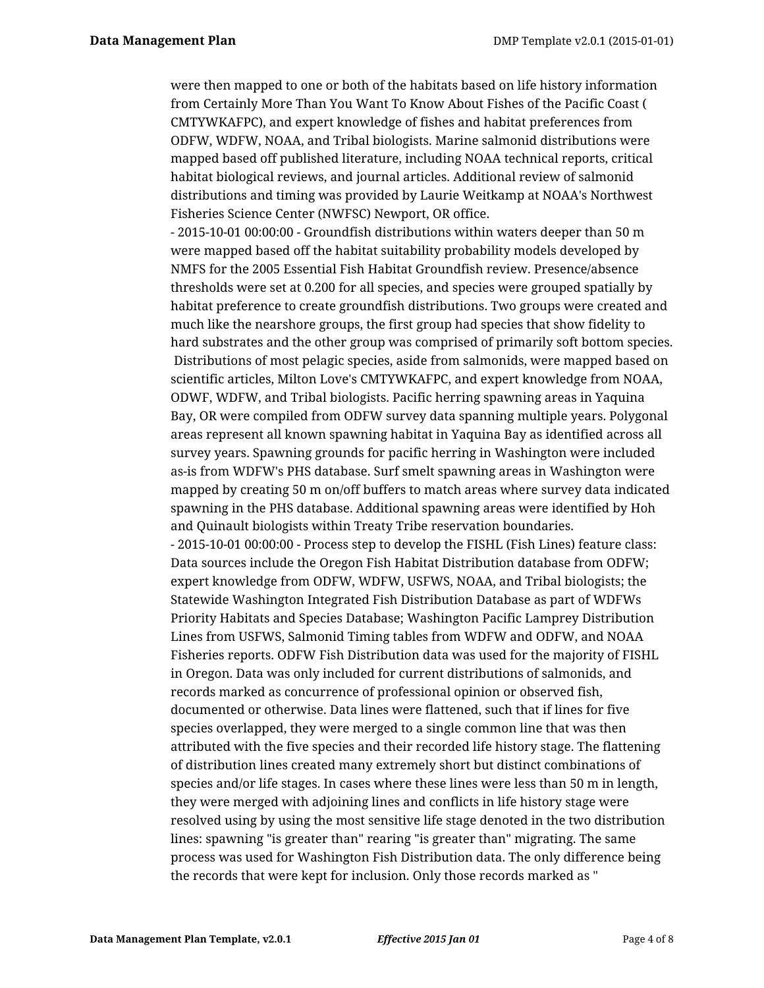were then mapped to one or both of the habitats based on life history information from Certainly More Than You Want To Know About Fishes of the Pacific Coast ( CMTYWKAFPC), and expert knowledge of fishes and habitat preferences from ODFW, WDFW, NOAA, and Tribal biologists. Marine salmonid distributions were mapped based off published literature, including NOAA technical reports, critical habitat biological reviews, and journal articles. Additional review of salmonid distributions and timing was provided by Laurie Weitkamp at NOAA's Northwest Fisheries Science Center (NWFSC) Newport, OR office.

- 2015-10-01 00:00:00 - Groundfish distributions within waters deeper than 50 m were mapped based off the habitat suitability probability models developed by NMFS for the 2005 Essential Fish Habitat Groundfish review. Presence/absence thresholds were set at 0.200 for all species, and species were grouped spatially by habitat preference to create groundfish distributions. Two groups were created and much like the nearshore groups, the first group had species that show fidelity to hard substrates and the other group was comprised of primarily soft bottom species. Distributions of most pelagic species, aside from salmonids, were mapped based on scientific articles, Milton Love's CMTYWKAFPC, and expert knowledge from NOAA, ODWF, WDFW, and Tribal biologists. Pacific herring spawning areas in Yaquina Bay, OR were compiled from ODFW survey data spanning multiple years. Polygonal areas represent all known spawning habitat in Yaquina Bay as identified across all survey years. Spawning grounds for pacific herring in Washington were included as-is from WDFW's PHS database. Surf smelt spawning areas in Washington were mapped by creating 50 m on/off buffers to match areas where survey data indicated spawning in the PHS database. Additional spawning areas were identified by Hoh and Quinault biologists within Treaty Tribe reservation boundaries.

- 2015-10-01 00:00:00 - Process step to develop the FISHL (Fish Lines) feature class: Data sources include the Oregon Fish Habitat Distribution database from ODFW; expert knowledge from ODFW, WDFW, USFWS, NOAA, and Tribal biologists; the Statewide Washington Integrated Fish Distribution Database as part of WDFWs Priority Habitats and Species Database; Washington Pacific Lamprey Distribution Lines from USFWS, Salmonid Timing tables from WDFW and ODFW, and NOAA Fisheries reports. ODFW Fish Distribution data was used for the majority of FISHL in Oregon. Data was only included for current distributions of salmonids, and records marked as concurrence of professional opinion or observed fish, documented or otherwise. Data lines were flattened, such that if lines for five species overlapped, they were merged to a single common line that was then attributed with the five species and their recorded life history stage. The flattening of distribution lines created many extremely short but distinct combinations of species and/or life stages. In cases where these lines were less than 50 m in length, they were merged with adjoining lines and conflicts in life history stage were resolved using by using the most sensitive life stage denoted in the two distribution lines: spawning "is greater than" rearing "is greater than" migrating. The same process was used for Washington Fish Distribution data. The only difference being the records that were kept for inclusion. Only those records marked as "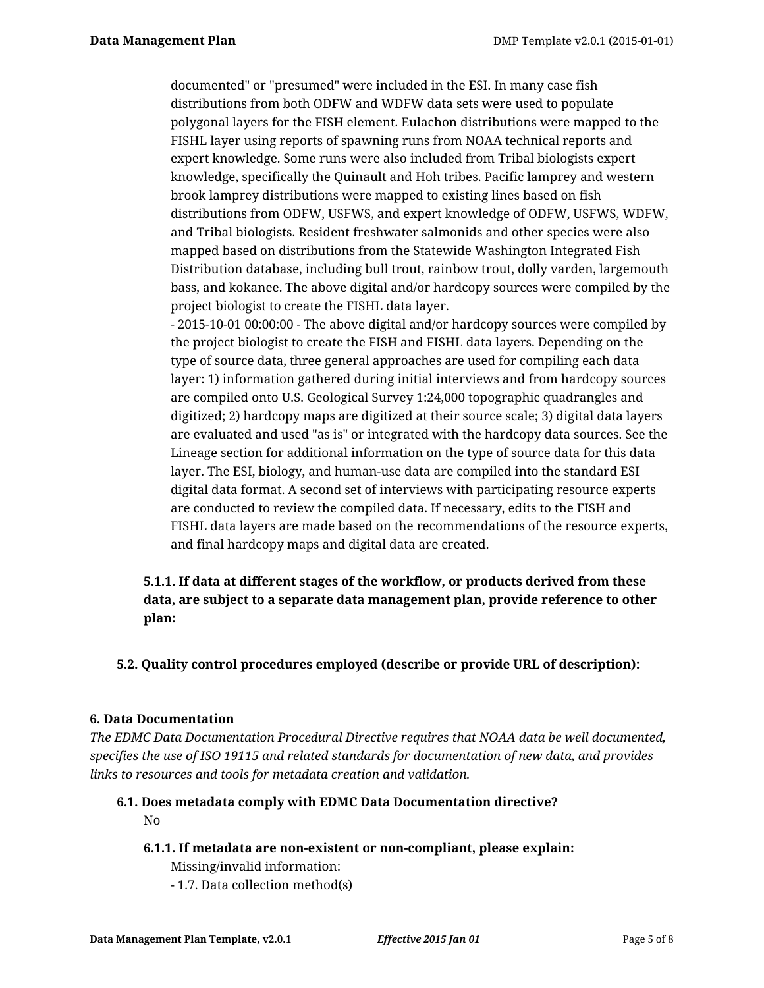documented" or "presumed" were included in the ESI. In many case fish distributions from both ODFW and WDFW data sets were used to populate polygonal layers for the FISH element. Eulachon distributions were mapped to the FISHL layer using reports of spawning runs from NOAA technical reports and expert knowledge. Some runs were also included from Tribal biologists expert knowledge, specifically the Quinault and Hoh tribes. Pacific lamprey and western brook lamprey distributions were mapped to existing lines based on fish distributions from ODFW, USFWS, and expert knowledge of ODFW, USFWS, WDFW, and Tribal biologists. Resident freshwater salmonids and other species were also mapped based on distributions from the Statewide Washington Integrated Fish Distribution database, including bull trout, rainbow trout, dolly varden, largemouth bass, and kokanee. The above digital and/or hardcopy sources were compiled by the project biologist to create the FISHL data layer.

- 2015-10-01 00:00:00 - The above digital and/or hardcopy sources were compiled by the project biologist to create the FISH and FISHL data layers. Depending on the type of source data, three general approaches are used for compiling each data layer: 1) information gathered during initial interviews and from hardcopy sources are compiled onto U.S. Geological Survey 1:24,000 topographic quadrangles and digitized; 2) hardcopy maps are digitized at their source scale; 3) digital data layers are evaluated and used "as is" or integrated with the hardcopy data sources. See the Lineage section for additional information on the type of source data for this data layer. The ESI, biology, and human-use data are compiled into the standard ESI digital data format. A second set of interviews with participating resource experts are conducted to review the compiled data. If necessary, edits to the FISH and FISHL data layers are made based on the recommendations of the resource experts, and final hardcopy maps and digital data are created.

# **5.1.1. If data at different stages of the workflow, or products derived from these data, are subject to a separate data management plan, provide reference to other plan:**

### **5.2. Quality control procedures employed (describe or provide URL of description):**

#### **6. Data Documentation**

*The EDMC Data Documentation Procedural Directive requires that NOAA data be well documented, specifies the use of ISO 19115 and related standards for documentation of new data, and provides links to resources and tools for metadata creation and validation.*

#### **6.1. Does metadata comply with EDMC Data Documentation directive?**

No

#### **6.1.1. If metadata are non-existent or non-compliant, please explain:** Missing/invalid information:

- 1.7. Data collection method(s)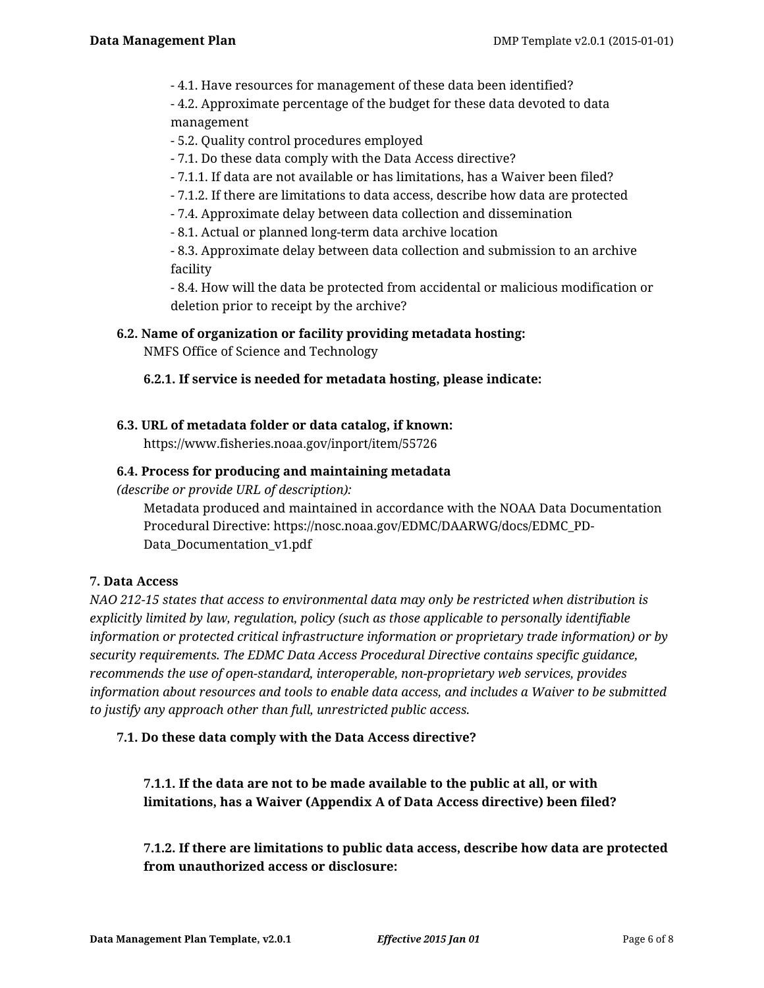- 4.1. Have resources for management of these data been identified?

- 4.2. Approximate percentage of the budget for these data devoted to data management

- 5.2. Quality control procedures employed

- 7.1. Do these data comply with the Data Access directive?
- 7.1.1. If data are not available or has limitations, has a Waiver been filed?
- 7.1.2. If there are limitations to data access, describe how data are protected
- 7.4. Approximate delay between data collection and dissemination
- 8.1. Actual or planned long-term data archive location

- 8.3. Approximate delay between data collection and submission to an archive facility

- 8.4. How will the data be protected from accidental or malicious modification or deletion prior to receipt by the archive?

### **6.2. Name of organization or facility providing metadata hosting:**

NMFS Office of Science and Technology

### **6.2.1. If service is needed for metadata hosting, please indicate:**

## **6.3. URL of metadata folder or data catalog, if known:**

https://www.fisheries.noaa.gov/inport/item/55726

### **6.4. Process for producing and maintaining metadata**

*(describe or provide URL of description):*

Metadata produced and maintained in accordance with the NOAA Data Documentation Procedural Directive: https://nosc.noaa.gov/EDMC/DAARWG/docs/EDMC\_PD-Data Documentation v1.pdf

### **7. Data Access**

*NAO 212-15 states that access to environmental data may only be restricted when distribution is explicitly limited by law, regulation, policy (such as those applicable to personally identifiable information or protected critical infrastructure information or proprietary trade information) or by security requirements. The EDMC Data Access Procedural Directive contains specific guidance, recommends the use of open-standard, interoperable, non-proprietary web services, provides information about resources and tools to enable data access, and includes a Waiver to be submitted to justify any approach other than full, unrestricted public access.*

### **7.1. Do these data comply with the Data Access directive?**

**7.1.1. If the data are not to be made available to the public at all, or with limitations, has a Waiver (Appendix A of Data Access directive) been filed?**

**7.1.2. If there are limitations to public data access, describe how data are protected from unauthorized access or disclosure:**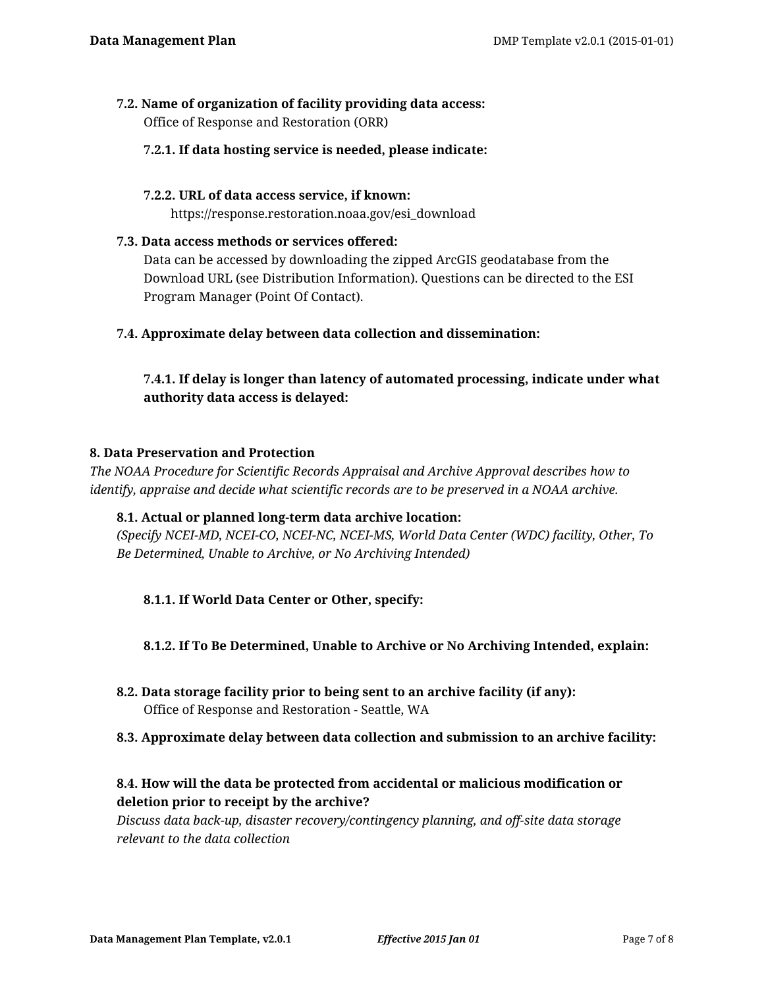#### **7.2. Name of organization of facility providing data access:** Office of Response and Restoration (ORR)

#### **7.2.1. If data hosting service is needed, please indicate:**

#### **7.2.2. URL of data access service, if known:**

https://response.restoration.noaa.gov/esi\_download

#### **7.3. Data access methods or services offered:**

Data can be accessed by downloading the zipped ArcGIS geodatabase from the Download URL (see Distribution Information). Questions can be directed to the ESI Program Manager (Point Of Contact).

### **7.4. Approximate delay between data collection and dissemination:**

## **7.4.1. If delay is longer than latency of automated processing, indicate under what authority data access is delayed:**

#### **8. Data Preservation and Protection**

*The NOAA Procedure for Scientific Records Appraisal and Archive Approval describes how to identify, appraise and decide what scientific records are to be preserved in a NOAA archive.*

#### **8.1. Actual or planned long-term data archive location:**

*(Specify NCEI-MD, NCEI-CO, NCEI-NC, NCEI-MS, World Data Center (WDC) facility, Other, To Be Determined, Unable to Archive, or No Archiving Intended)*

### **8.1.1. If World Data Center or Other, specify:**

### **8.1.2. If To Be Determined, Unable to Archive or No Archiving Intended, explain:**

**8.2. Data storage facility prior to being sent to an archive facility (if any):** Office of Response and Restoration - Seattle, WA

#### **8.3. Approximate delay between data collection and submission to an archive facility:**

## **8.4. How will the data be protected from accidental or malicious modification or deletion prior to receipt by the archive?**

*Discuss data back-up, disaster recovery/contingency planning, and off-site data storage relevant to the data collection*